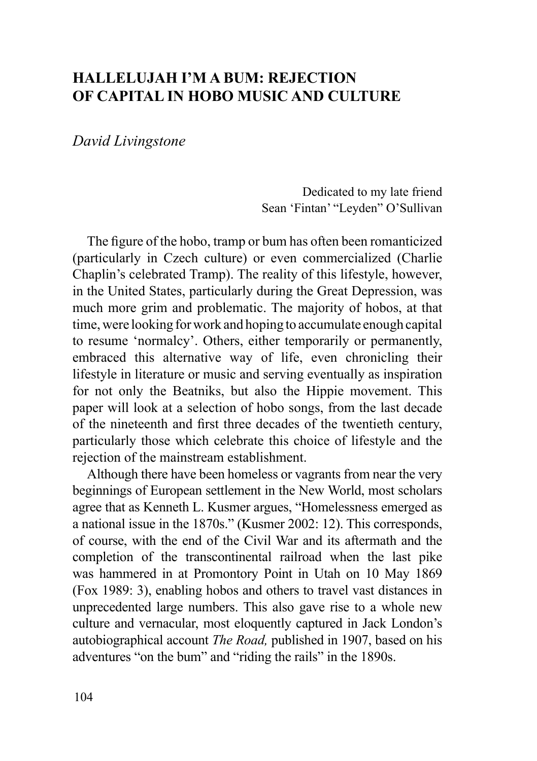## **HALLELUJAH I'M A BUM: REJECTION OF CAPITAL IN HOBO MUSIC AND CULTURE**

*David Livingstone*

Dedicated to my late friend Sean 'Fintan' "Leyden" O'Sullivan

The figure of the hobo, tramp or bum has often been romanticized (particularly in Czech culture) or even commercialized (Charlie Chaplin's celebrated Tramp). The reality of this lifestyle, however, in the United States, particularly during the Great Depression, was much more grim and problematic. The majority of hobos, at that time, were looking for work and hoping to accumulate enough capital to resume 'normalcy'. Others, either temporarily or permanently, embraced this alternative way of life, even chronicling their lifestyle in literature or music and serving eventually as inspiration for not only the Beatniks, but also the Hippie movement. This paper will look at a selection of hobo songs, from the last decade of the nineteenth and first three decades of the twentieth century, particularly those which celebrate this choice of lifestyle and the rejection of the mainstream establishment.

Although there have been homeless or vagrants from near the very beginnings of European settlement in the New World, most scholars agree that as Kenneth L. Kusmer argues, "Homelessness emerged as a national issue in the 1870s." (Kusmer 2002: 12). This corresponds, of course, with the end of the Civil War and its aftermath and the completion of the transcontinental railroad when the last pike was hammered in at Promontory Point in Utah on 10 May 1869 (Fox 1989: 3), enabling hobos and others to travel vast distances in unprecedented large numbers. This also gave rise to a whole new culture and vernacular, most eloquently captured in Jack London's autobiographical account *The Road,* published in 1907, based on his adventures "on the bum" and "riding the rails" in the 1890s.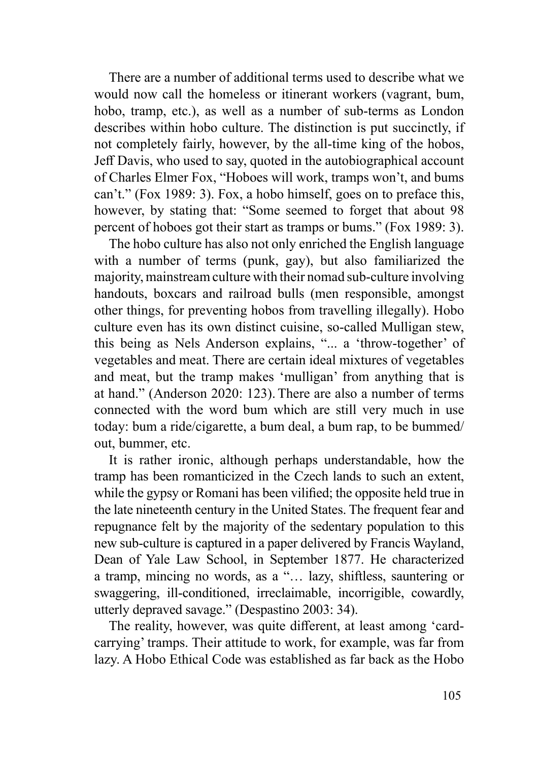There are a number of additional terms used to describe what we would now call the homeless or itinerant workers (vagrant, bum, hobo, tramp, etc.), as well as a number of sub-terms as London describes within hobo culture. The distinction is put succinctly, if not completely fairly, however, by the all-time king of the hobos, Jeff Davis, who used to say, quoted in the autobiographical account of Charles Elmer Fox, "Hoboes will work, tramps won't, and bums can't." (Fox 1989: 3). Fox, a hobo himself, goes on to preface this, however, by stating that: "Some seemed to forget that about 98 percent of hoboes got their start as tramps or bums." (Fox 1989: 3).

The hobo culture has also not only enriched the English language with a number of terms (punk, gay), but also familiarized the majority, mainstream culture with their nomad sub-culture involving handouts, boxcars and railroad bulls (men responsible, amongst other things, for preventing hobos from travelling illegally). Hobo culture even has its own distinct cuisine, so-called Mulligan stew, this being as Nels Anderson explains, "... a 'throw-together' of vegetables and meat. There are certain ideal mixtures of vegetables and meat, but the tramp makes 'mulligan' from anything that is at hand." (Anderson 2020: 123). There are also a number of terms connected with the word bum which are still very much in use today: bum a ride/cigarette, a bum deal, a bum rap, to be bummed/ out, bummer, etc.

It is rather ironic, although perhaps understandable, how the tramp has been romanticized in the Czech lands to such an extent, while the gypsy or Romani has been vilified; the opposite held true in the late nineteenth century in the United States. The frequent fear and repugnance felt by the majority of the sedentary population to this new sub-culture is captured in a paper delivered by Francis Wayland, Dean of Yale Law School, in September 1877. He characterized a tramp, mincing no words, as a "… lazy, shiftless, sauntering or swaggering, ill-conditioned, irreclaimable, incorrigible, cowardly, utterly depraved savage." (Despastino 2003: 34).

The reality, however, was quite different, at least among 'cardcarrying' tramps. Their attitude to work, for example, was far from lazy. A Hobo Ethical Code was established as far back as the Hobo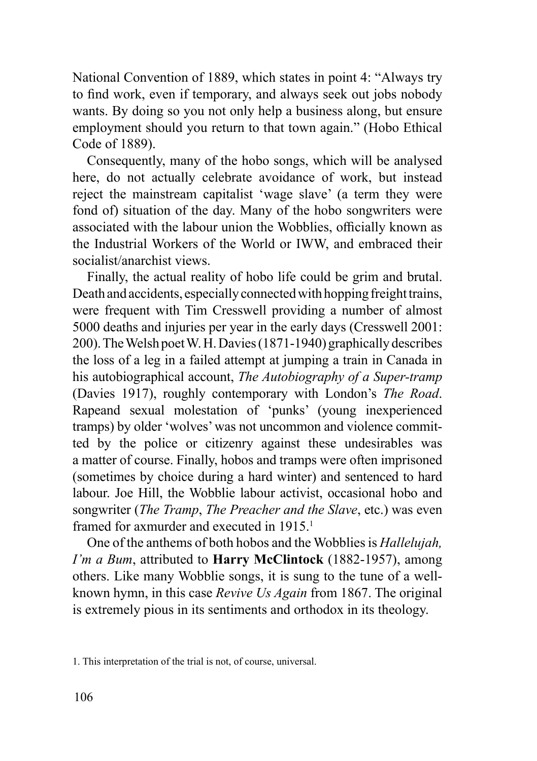National Convention of 1889, which states in point 4: "Always try to find work, even if temporary, and always seek out jobs nobody wants. By doing so you not only help a business along, but ensure employment should you return to that town again." (Hobo Ethical Code of 1889).

Consequently, many of the hobo songs, which will be analysed here, do not actually celebrate avoidance of work, but instead reject the mainstream capitalist 'wage slave' (a term they were fond of) situation of the day. Many of the hobo songwriters were associated with the labour union the Wobblies, officially known as the Industrial Workers of the World or IWW, and embraced their socialist/anarchist views.

Finally, the actual reality of hobo life could be grim and brutal. Death and accidents, especially connected with hopping freight trains, were frequent with Tim Cresswell providing a number of almost 5000 deaths and injuries per year in the early days (Cresswell 2001: 200). The Welsh poet W. H. Davies (1871-1940) graphically describes the loss of a leg in a failed attempt at jumping a train in Canada in his autobiographical account, *The Autobiography of a Super-tramp* (Davies 1917), roughly contemporary with London's *The Road*. Rapeand sexual molestation of 'punks' (young inexperienced tramps) by older 'wolves' was not uncommon and violence committed by the police or citizenry against these undesirables was a matter of course. Finally, hobos and tramps were often imprisoned (sometimes by choice during a hard winter) and sentenced to hard labour. Joe Hill, the Wobblie labour activist, occasional hobo and songwriter (*The Tramp*, *The Preacher and the Slave*, etc.) was even framed for axmurder and executed in 1915.<sup>1</sup>

One of the anthems of both hobos and the Wobblies is *Hallelujah, I'm a Bum*, attributed to **Harry McClintock** (1882-1957), among others. Like many Wobblie songs, it is sung to the tune of a wellknown hymn, in this case *Revive Us Again* from 1867. The original is extremely pious in its sentiments and orthodox in its theology.

<sup>1.</sup> This interpretation of the trial is not, of course, universal.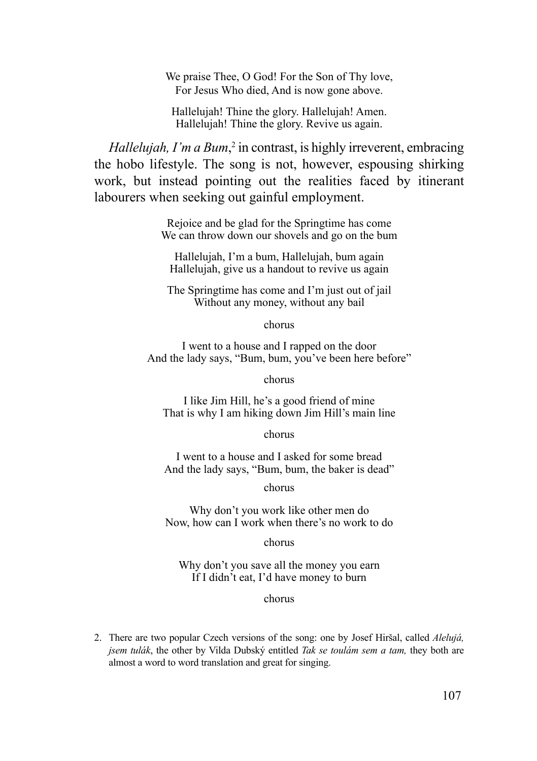We praise Thee, O God! For the Son of Thy love, For Jesus Who died, And is now gone above.

Hallelujah! Thine the glory. Hallelujah! Amen. Hallelujah! Thine the glory. Revive us again.

*Hallelujah, I'm a Bum*,<sup>2</sup> in contrast, is highly irreverent, embracing the hobo lifestyle. The song is not, however, espousing shirking work, but instead pointing out the realities faced by itinerant labourers when seeking out gainful employment.

> Rejoice and be glad for the Springtime has come We can throw down our shovels and go on the bum

Hallelujah, I'm a bum, Hallelujah, bum again Hallelujah, give us a handout to revive us again

The Springtime has come and I'm just out of jail Without any money, without any bail

chorus

I went to a house and I rapped on the door And the lady says, "Bum, bum, you've been here before"

chorus

I like Jim Hill, he's a good friend of mine That is why I am hiking down Jim Hill's main line

chorus

I went to a house and I asked for some bread And the lady says, "Bum, bum, the baker is dead"

chorus

Why don't you work like other men do Now, how can I work when there's no work to do

chorus

Why don't you save all the money you earn If I didn't eat, I'd have money to burn

chorus

2. There are two popular Czech versions of the song: one by Josef Hiršal, called *Alelujá, jsem tulák*, the other by Vilda Dubský entitled *Tak se toulám sem a tam,* they both are almost a word to word translation and great for singing.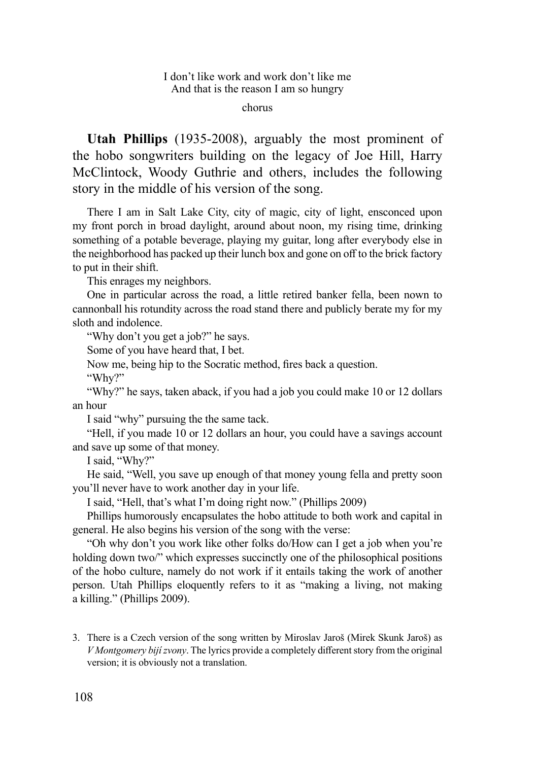chorus

**Utah Phillips** (1935-2008), arguably the most prominent of the hobo songwriters building on the legacy of Joe Hill, Harry McClintock, Woody Guthrie and others, includes the following story in the middle of his version of the song.

There I am in Salt Lake City, city of magic, city of light, ensconced upon my front porch in broad daylight, around about noon, my rising time, drinking something of a potable beverage, playing my guitar, long after everybody else in the neighborhood has packed up their lunch box and gone on off to the brick factory to put in their shift.

This enrages my neighbors.

One in particular across the road, a little retired banker fella, been nown to cannonball his rotundity across the road stand there and publicly berate my for my sloth and indolence.

"Why don't you get a job?" he says.

Some of you have heard that, I bet.

Now me, being hip to the Socratic method, fires back a question.

"Why?"

"Why?" he says, taken aback, if you had a job you could make 10 or 12 dollars an hour

I said "why" pursuing the the same tack.

"Hell, if you made 10 or 12 dollars an hour, you could have a savings account and save up some of that money.

I said, "Why?"

He said, "Well, you save up enough of that money young fella and pretty soon you'll never have to work another day in your life.

I said, "Hell, that's what I'm doing right now." (Phillips 2009)

Phillips humorously encapsulates the hobo attitude to both work and capital in general. He also begins his version of the song with the verse:

"Oh why don't you work like other folks do/How can I get a job when you're holding down two/" which expresses succinctly one of the philosophical positions of the hobo culture, namely do not work if it entails taking the work of another person. Utah Phillips eloquently refers to it as "making a living, not making a killing." (Phillips 2009).

3. There is a Czech version of the song written by Miroslav Jaroš (Mirek Skunk Jaroš) as *V Montgomery bijí zvony*. The lyrics provide a completely different story from the original version; it is obviously not a translation.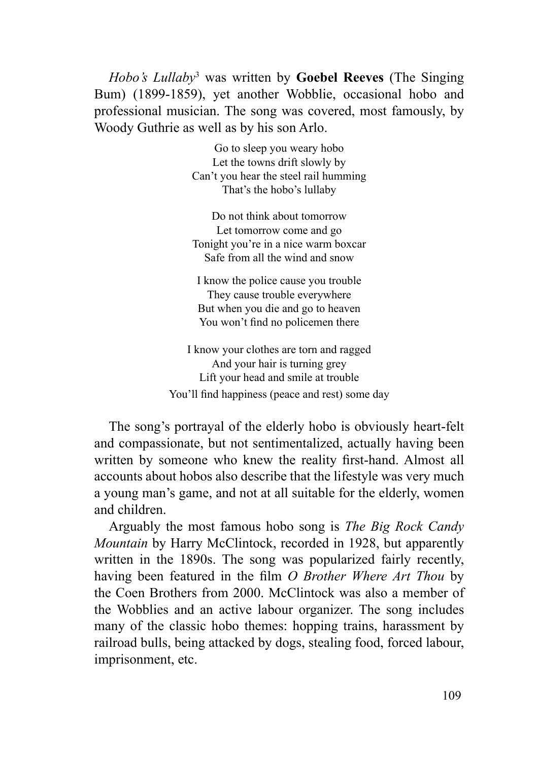*Hobo's Lullaby*<sup>3</sup> was written by **Goebel Reeves** (The Singing Bum) (1899-1859), yet another Wobblie, occasional hobo and professional musician. The song was covered, most famously, by Woody Guthrie as well as by his son Arlo.

> Go to sleep you weary hobo Let the towns drift slowly by Can't you hear the steel rail humming That's the hobo's lullaby

> Do not think about tomorrow Let tomorrow come and go Tonight you're in a nice warm boxcar Safe from all the wind and snow

I know the police cause you trouble They cause trouble everywhere But when you die and go to heaven You won't find no policemen there

I know your clothes are torn and ragged And your hair is turning grey Lift your head and smile at trouble You'll find happiness (peace and rest) some day

The song's portrayal of the elderly hobo is obviously heart-felt and compassionate, but not sentimentalized, actually having been written by someone who knew the reality first-hand. Almost all accounts about hobos also describe that the lifestyle was very much a young man's game, and not at all suitable for the elderly, women and children.

Arguably the most famous hobo song is *The Big Rock Candy Mountain* by Harry McClintock, recorded in 1928, but apparently written in the 1890s. The song was popularized fairly recently, having been featured in the film *O Brother Where Art Thou* by the Coen Brothers from 2000. McClintock was also a member of the Wobblies and an active labour organizer. The song includes many of the classic hobo themes: hopping trains, harassment by railroad bulls, being attacked by dogs, stealing food, forced labour, imprisonment, etc.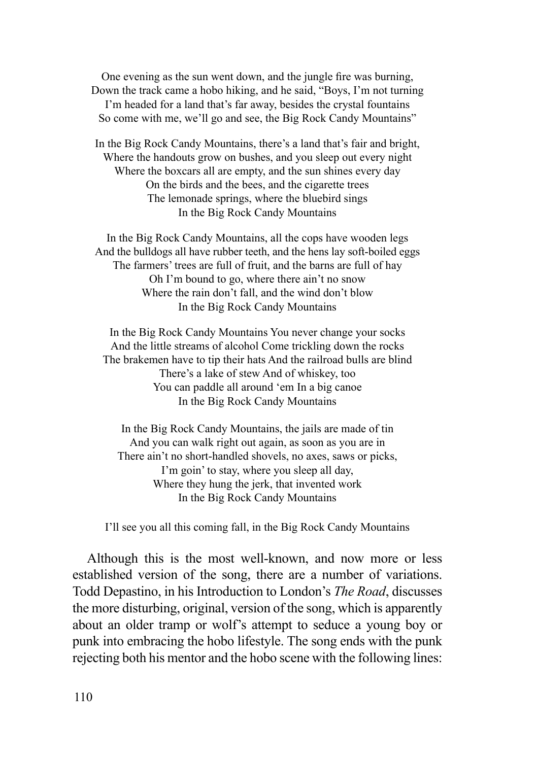One evening as the sun went down, and the jungle fire was burning, Down the track came a hobo hiking, and he said, "Boys, I'm not turning I'm headed for a land that's far away, besides the crystal fountains So come with me, we'll go and see, the Big Rock Candy Mountains"

In the Big Rock Candy Mountains, there's a land that's fair and bright, Where the handouts grow on bushes, and you sleep out every night Where the boxcars all are empty, and the sun shines every day On the birds and the bees, and the cigarette trees The lemonade springs, where the bluebird sings In the Big Rock Candy Mountains

In the Big Rock Candy Mountains, all the cops have wooden legs And the bulldogs all have rubber teeth, and the hens lay soft-boiled eggs The farmers' trees are full of fruit, and the barns are full of hay Oh I'm bound to go, where there ain't no snow Where the rain don't fall, and the wind don't blow In the Big Rock Candy Mountains

In the Big Rock Candy Mountains You never change your socks And the little streams of alcohol Come trickling down the rocks The brakemen have to tip their hats And the railroad bulls are blind There's a lake of stew And of whiskey, too You can paddle all around 'em In a big canoe In the Big Rock Candy Mountains

In the Big Rock Candy Mountains, the jails are made of tin And you can walk right out again, as soon as you are in There ain't no short-handled shovels, no axes, saws or picks, I'm goin' to stay, where you sleep all day, Where they hung the jerk, that invented work In the Big Rock Candy Mountains

I'll see you all this coming fall, in the Big Rock Candy Mountains

Although this is the most well-known, and now more or less established version of the song, there are a number of variations. Todd Depastino, in his Introduction to London's *The Road*, discusses the more disturbing, original, version of the song, which is apparently about an older tramp or wolf's attempt to seduce a young boy or punk into embracing the hobo lifestyle. The song ends with the punk rejecting both his mentor and the hobo scene with the following lines: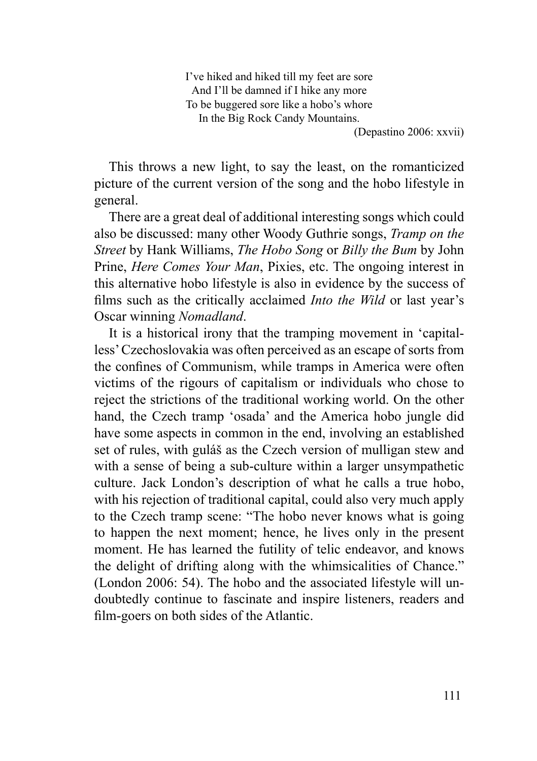I've hiked and hiked till my feet are sore And I'll be damned if I hike any more To be buggered sore like a hobo's whore In the Big Rock Candy Mountains.

(Depastino 2006: xxvii)

This throws a new light, to say the least, on the romanticized picture of the current version of the song and the hobo lifestyle in general.

There are a great deal of additional interesting songs which could also be discussed: many other Woody Guthrie songs, *Tramp on the Street* by Hank Williams, *The Hobo Song* or *Billy the Bum* by John Prine, *Here Comes Your Man*, Pixies, etc. The ongoing interest in this alternative hobo lifestyle is also in evidence by the success of films such as the critically acclaimed *Into the Wild* or last year's Oscar winning *Nomadland*.

It is a historical irony that the tramping movement in 'capitalless' Czechoslovakia was often perceived as an escape of sorts from the confines of Communism, while tramps in America were often victims of the rigours of capitalism or individuals who chose to reject the strictions of the traditional working world. On the other hand, the Czech tramp 'osada' and the America hobo jungle did have some aspects in common in the end, involving an established set of rules, with guláš as the Czech version of mulligan stew and with a sense of being a sub-culture within a larger unsympathetic culture. Jack London's description of what he calls a true hobo, with his rejection of traditional capital, could also very much apply to the Czech tramp scene: "The hobo never knows what is going to happen the next moment; hence, he lives only in the present moment. He has learned the futility of telic endeavor, and knows the delight of drifting along with the whimsicalities of Chance." (London 2006: 54). The hobo and the associated lifestyle will undoubtedly continue to fascinate and inspire listeners, readers and film-goers on both sides of the Atlantic.